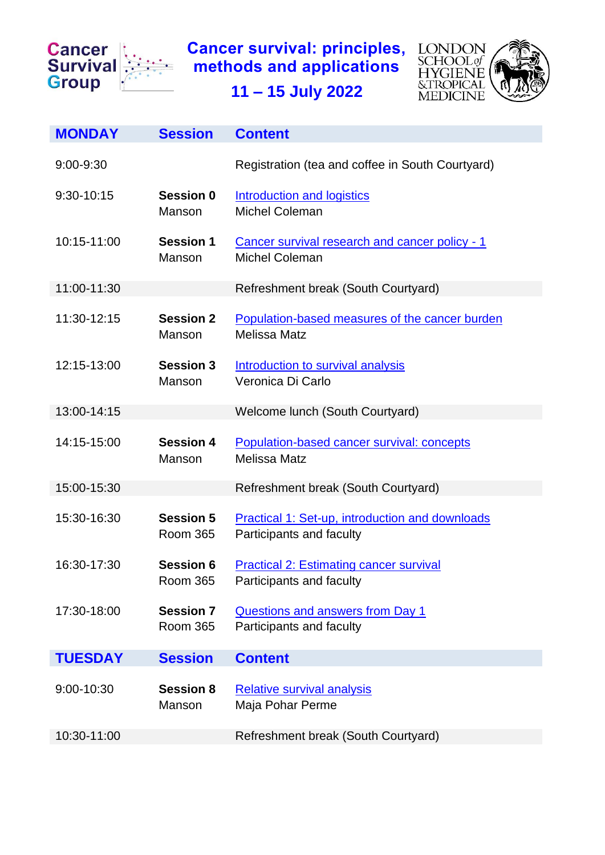

**Cancer survival: principles, methods and applications**



<span id="page-0-4"></span><span id="page-0-3"></span><span id="page-0-2"></span><span id="page-0-1"></span><span id="page-0-0"></span>**11 – 15 July 2022**

<span id="page-0-8"></span><span id="page-0-7"></span><span id="page-0-6"></span><span id="page-0-5"></span>

| <b>MONDAY</b>  | <b>Session</b>                      | <b>Content</b>                                                                     |
|----------------|-------------------------------------|------------------------------------------------------------------------------------|
| 9:00-9:30      |                                     | Registration (tea and coffee in South Courtyard)                                   |
| 9:30-10:15     | Session 0<br>Manson                 | Introduction and logistics<br><b>Michel Coleman</b>                                |
| 10:15-11:00    | <b>Session 1</b><br>Manson          | Cancer survival research and cancer policy - 1<br><b>Michel Coleman</b>            |
| 11:00-11:30    |                                     | Refreshment break (South Courtyard)                                                |
| 11:30-12:15    | <b>Session 2</b><br>Manson          | Population-based measures of the cancer burden<br><b>Melissa Matz</b>              |
| 12:15-13:00    | <b>Session 3</b><br>Manson          | Introduction to survival analysis<br>Veronica Di Carlo                             |
| 13:00-14:15    |                                     | Welcome lunch (South Courtyard)                                                    |
| 14:15-15:00    | <b>Session 4</b><br>Manson          | Population-based cancer survival: concepts<br><b>Melissa Matz</b>                  |
| 15:00-15:30    |                                     | Refreshment break (South Courtyard)                                                |
| 15:30-16:30    | <b>Session 5</b><br><b>Room 365</b> | <b>Practical 1: Set-up, introduction and downloads</b><br>Participants and faculty |
| 16:30-17:30    | <b>Session 6</b><br><b>Room 365</b> | <b>Practical 2: Estimating cancer survival</b><br>Participants and faculty         |
| 17:30-18:00    | <b>Session 7</b><br><b>Room 365</b> | Questions and answers from Day 1<br>Participants and faculty                       |
| <b>TUESDAY</b> | <b>Session</b>                      | <b>Content</b>                                                                     |
| 9:00-10:30     | <b>Session 8</b><br>Manson          | <b>Relative survival analysis</b><br>Maja Pohar Perme                              |
| 10:30-11:00    |                                     | Refreshment break (South Courtyard)                                                |
|                |                                     |                                                                                    |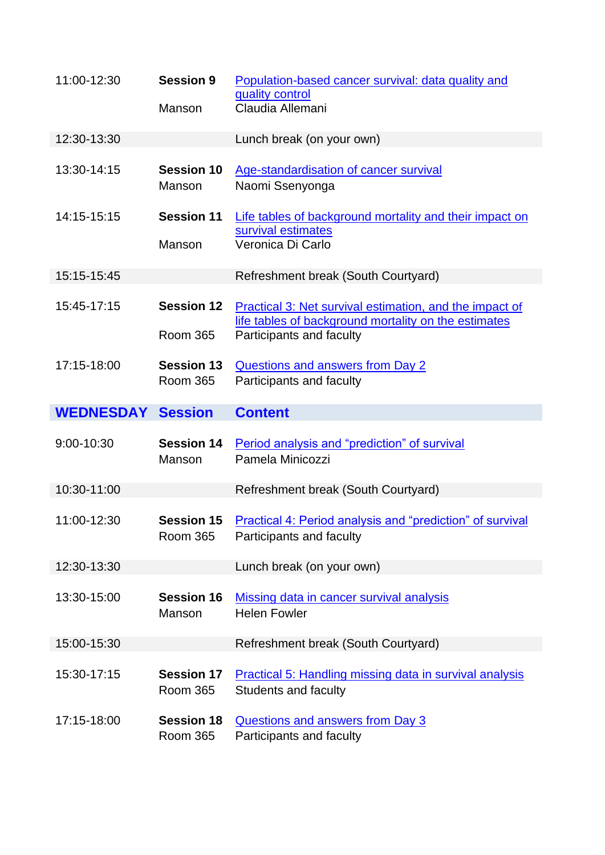<span id="page-1-9"></span><span id="page-1-8"></span><span id="page-1-7"></span><span id="page-1-6"></span><span id="page-1-5"></span><span id="page-1-4"></span><span id="page-1-3"></span><span id="page-1-2"></span><span id="page-1-1"></span><span id="page-1-0"></span>

| 11:00-12:30      | <b>Session 9</b>                     | Population-based cancer survival: data quality and<br>quality control<br>Claudia Allemani                                                   |
|------------------|--------------------------------------|---------------------------------------------------------------------------------------------------------------------------------------------|
|                  | Manson                               |                                                                                                                                             |
| 12:30-13:30      |                                      | Lunch break (on your own)                                                                                                                   |
| 13:30-14:15      | <b>Session 10</b><br>Manson          | Age-standardisation of cancer survival<br>Naomi Ssenyonga                                                                                   |
| 14:15-15:15      | <b>Session 11</b><br>Manson          | Life tables of background mortality and their impact on<br>survival estimates<br>Veronica Di Carlo                                          |
| 15:15-15:45      |                                      | Refreshment break (South Courtyard)                                                                                                         |
| 15:45-17:15      | <b>Session 12</b><br><b>Room 365</b> | Practical 3: Net survival estimation, and the impact of<br>life tables of background mortality on the estimates<br>Participants and faculty |
| 17:15-18:00      | <b>Session 13</b><br><b>Room 365</b> | <b>Questions and answers from Day 2</b><br>Participants and faculty                                                                         |
|                  |                                      | <b>Content</b>                                                                                                                              |
| <b>WEDNESDAY</b> | <b>Session</b>                       |                                                                                                                                             |
| 9:00-10:30       | <b>Session 14</b><br>Manson          | Period analysis and "prediction" of survival<br>Pamela Minicozzi                                                                            |
| 10:30-11:00      |                                      | Refreshment break (South Courtyard)                                                                                                         |
| 11:00-12:30      | <b>Session 15</b><br><b>Room 365</b> | <b>Practical 4: Period analysis and "prediction" of survival</b><br>Participants and faculty                                                |
| 12:30-13:30      |                                      | Lunch break (on your own)                                                                                                                   |
| 13:30-15:00      | <b>Session 16</b><br>Manson          | Missing data in cancer survival analysis<br><b>Helen Fowler</b>                                                                             |
| 15:00-15:30      |                                      | Refreshment break (South Courtyard)                                                                                                         |
| 15:30-17:15      | <b>Session 17</b><br><b>Room 365</b> | <b>Practical 5: Handling missing data in survival analysis</b><br><b>Students and faculty</b>                                               |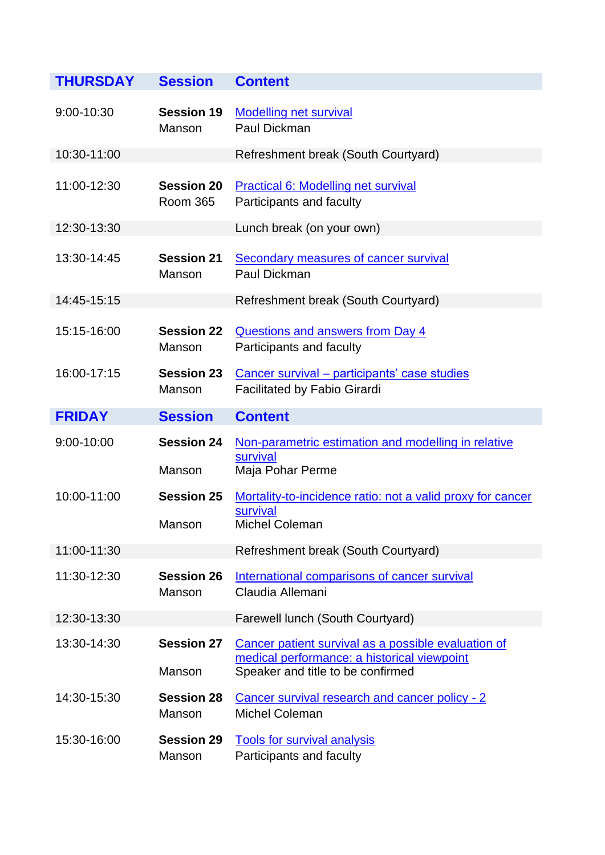<span id="page-2-9"></span><span id="page-2-8"></span><span id="page-2-7"></span><span id="page-2-6"></span><span id="page-2-5"></span><span id="page-2-4"></span><span id="page-2-3"></span><span id="page-2-2"></span><span id="page-2-1"></span><span id="page-2-0"></span>

| <b>THURSDAY</b> | <b>Session</b>                       | <b>Content</b>                                                                                                                          |
|-----------------|--------------------------------------|-----------------------------------------------------------------------------------------------------------------------------------------|
| 9:00-10:30      | <b>Session 19</b><br>Manson          | <b>Modelling net survival</b><br>Paul Dickman                                                                                           |
| 10:30-11:00     |                                      | Refreshment break (South Courtyard)                                                                                                     |
| 11:00-12:30     | <b>Session 20</b><br><b>Room 365</b> | Practical 6: Modelling net survival<br>Participants and faculty                                                                         |
| 12:30-13:30     |                                      | Lunch break (on your own)                                                                                                               |
| 13:30-14:45     | <b>Session 21</b><br>Manson          | <b>Secondary measures of cancer survival</b><br>Paul Dickman                                                                            |
| 14:45-15:15     |                                      | Refreshment break (South Courtyard)                                                                                                     |
| 15:15-16:00     | <b>Session 22</b><br>Manson          | <b>Questions and answers from Day 4</b><br>Participants and faculty                                                                     |
| 16:00-17:15     | <b>Session 23</b><br>Manson          | Cancer survival – participants' case studies<br><b>Facilitated by Fabio Girardi</b>                                                     |
| <b>FRIDAY</b>   | <b>Session</b>                       | <b>Content</b>                                                                                                                          |
| 9:00-10:00      | <b>Session 24</b><br>Manson          | Non-parametric estimation and modelling in relative<br>survival<br>Maja Pohar Perme                                                     |
| 10:00-11:00     | <b>Session 25</b><br>Manson          | Mortality-to-incidence ratio: not a valid proxy for cancer<br>survival<br><b>Michel Coleman</b>                                         |
| 11:00-11:30     |                                      | Refreshment break (South Courtyard)                                                                                                     |
| 11:30-12:30     | <b>Session 26</b><br>Manson          | International comparisons of cancer survival<br>Claudia Allemani                                                                        |
| 12:30-13:30     |                                      | Farewell lunch (South Courtyard)                                                                                                        |
| 13:30-14:30     | <b>Session 27</b><br>Manson          | Cancer patient survival as a possible evaluation of<br>medical performance: a historical viewpoint<br>Speaker and title to be confirmed |
| 14:30-15:30     | <b>Session 28</b><br>Manson          | Cancer survival research and cancer policy - 2<br><b>Michel Coleman</b>                                                                 |
| 15:30-16:00     | <b>Session 29</b><br>Manson          | <b>Tools for survival analysis</b><br>Participants and faculty                                                                          |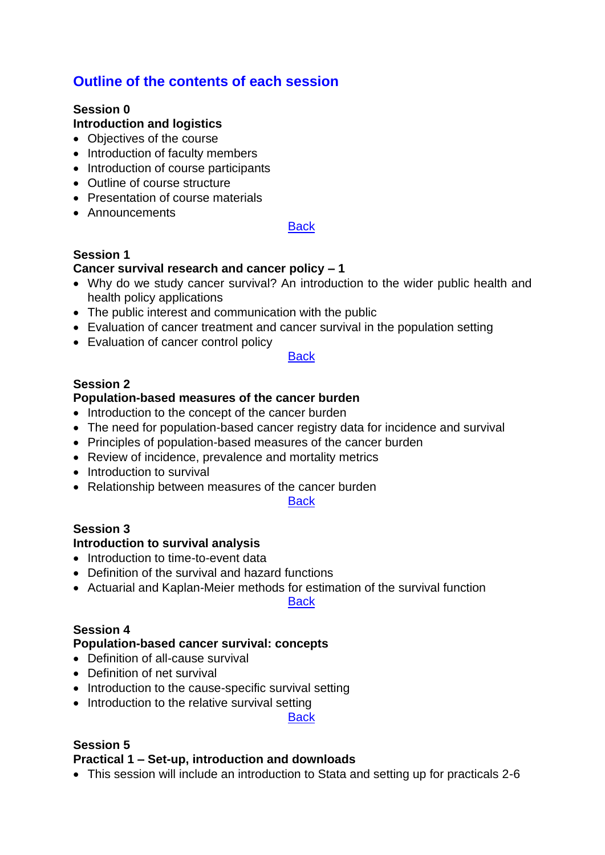# **Outline of the contents of each session**

# <span id="page-3-0"></span>**Session 0**

# **Introduction and logistics**

- Objectives of the course
- Introduction of faculty members
- Introduction of course participants
- Outline of course structure
- Presentation of course materials
- Announcements

#### **[Back](#page-0-0)**

### <span id="page-3-1"></span>**Session 1**

### **Cancer survival research and cancer policy – 1**

- Why do we study cancer survival? An introduction to the wider public health and health policy applications
- The public interest and communication with the public
- Evaluation of cancer treatment and cancer survival in the population setting
- Evaluation of cancer control policy

#### **[Back](#page-0-1)**

### <span id="page-3-2"></span>**Session 2**

### **Population-based measures of the cancer burden**

- Introduction to the concept of the cancer burden
- The need for population-based cancer registry data for incidence and survival
- Principles of population-based measures of the cancer burden
- Review of incidence, prevalence and mortality metrics
- Introduction to survival
- Relationship between measures of the cancer burden

**[Back](#page-0-2)** 

#### <span id="page-3-3"></span>**Session 3**

#### **Introduction to survival analysis**

- Introduction to time-to-event data
- Definition of the survival and hazard functions
- Actuarial and Kaplan-Meier methods for estimation of the survival function

**[Back](#page-0-3)** 

#### <span id="page-3-4"></span>**Session 4**

#### **Population-based cancer survival: concepts**

- Definition of all-cause survival
- Definition of net survival
- Introduction to the cause-specific survival setting
- Introduction to the relative survival setting

**[Back](#page-0-4)** 

## <span id="page-3-5"></span>**Session 5**

## **Practical 1 – Set-up, introduction and downloads**

• This session will include an introduction to Stata and setting up for practicals 2-6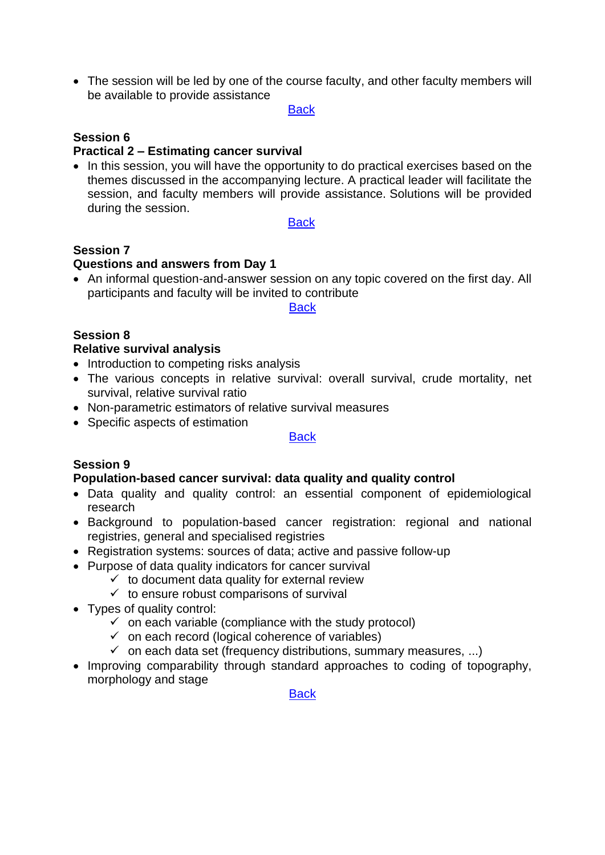• The session will be led by one of the course faculty, and other faculty members will be available to provide assistance

**[Back](#page-0-5)** 

#### <span id="page-4-0"></span>**Session 6**

#### **Practical 2 – Estimating cancer survival**

• In this session, you will have the opportunity to do practical exercises based on the themes discussed in the accompanying lecture. A practical leader will facilitate the session, and faculty members will provide assistance. Solutions will be provided during the session.

**[Back](#page-0-6)** 

# <span id="page-4-1"></span>**Session 7**

#### **Questions and answers from Day 1**

• An informal question-and-answer session on any topic covered on the first day. All participants and faculty will be invited to contribute

**[Back](#page-0-7)** 

### <span id="page-4-2"></span>**Session 8**

#### **Relative survival analysis**

- Introduction to competing risks analysis
- The various concepts in relative survival: overall survival, crude mortality, net survival, relative survival ratio
- Non-parametric estimators of relative survival measures
- Specific aspects of estimation

#### [Back](#page-0-8)

# <span id="page-4-3"></span>**Session 9**

#### **Population-based cancer survival: data quality and quality control**

- Data quality and quality control: an essential component of epidemiological research
- Background to population-based cancer registration: regional and national registries, general and specialised registries
- Registration systems: sources of data; active and passive follow-up
- Purpose of data quality indicators for cancer survival
	- $\checkmark$  to document data quality for external review
	- $\checkmark$  to ensure robust comparisons of survival
- Types of quality control:
	- $\checkmark$  on each variable (compliance with the study protocol)
	- $\checkmark$  on each record (logical coherence of variables)
	- $\checkmark$  on each data set (frequency distributions, summary measures, ...)
- Improving comparability through standard approaches to coding of topography, morphology and stage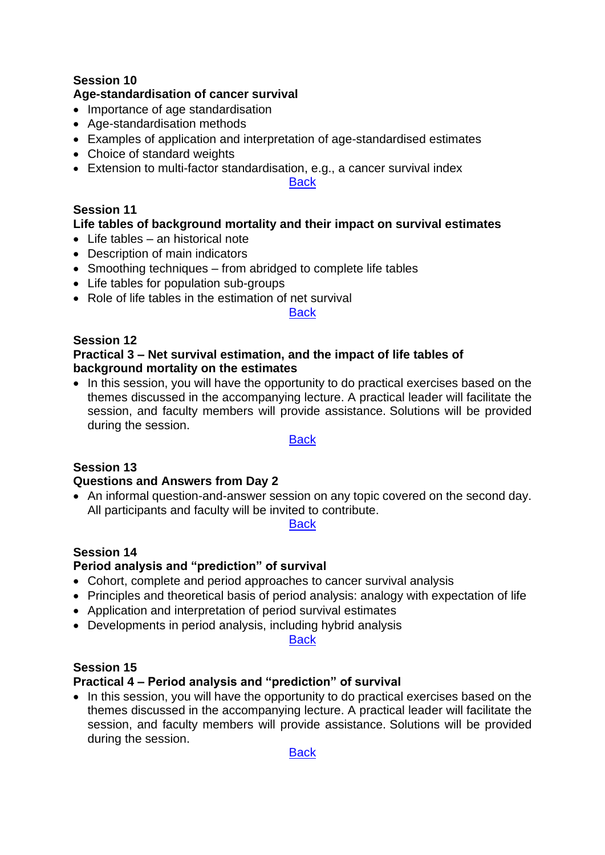## <span id="page-5-0"></span>**Session 10**

### **Age-standardisation of cancer survival**

- Importance of age standardisation
- Age-standardisation methods
- Examples of application and interpretation of age-standardised estimates
- Choice of standard weights
- Extension to multi-factor standardisation, e.g., a cancer survival index

**[Back](#page-1-1)** 

#### <span id="page-5-1"></span>**Session 11**

### **Life tables of background mortality and their impact on survival estimates**

- Life tables an historical note
- Description of main indicators
- Smoothing techniques from abridged to complete life tables
- Life tables for population sub-groups
- Role of life tables in the estimation of net survival

#### **[Back](#page-1-2)**

### <span id="page-5-2"></span>**Session 12**

#### **Practical 3 – Net survival estimation, and the impact of life tables of background mortality on the estimates**

• In this session, you will have the opportunity to do practical exercises based on the themes discussed in the accompanying lecture. A practical leader will facilitate the session, and faculty members will provide assistance. Solutions will be provided during the session.

#### **[Back](#page-1-3)**

## <span id="page-5-3"></span>**Session 13**

## **Questions and Answers from Day 2**

• An informal question-and-answer session on any topic covered on the second day. All participants and faculty will be invited to contribute.

**[Back](#page-1-4)** 

## <span id="page-5-4"></span>**Session 14**

## **Period analysis and "prediction" of survival**

- Cohort, complete and period approaches to cancer survival analysis
- Principles and theoretical basis of period analysis: analogy with expectation of life
- Application and interpretation of period survival estimates
- Developments in period analysis, including hybrid analysis

**[Back](#page-1-5)** 

#### <span id="page-5-5"></span>**Session 15**

## **Practical 4 – Period analysis and "prediction" of survival**

• In this session, you will have the opportunity to do practical exercises based on the themes discussed in the accompanying lecture. A practical leader will facilitate the session, and faculty members will provide assistance. Solutions will be provided during the session.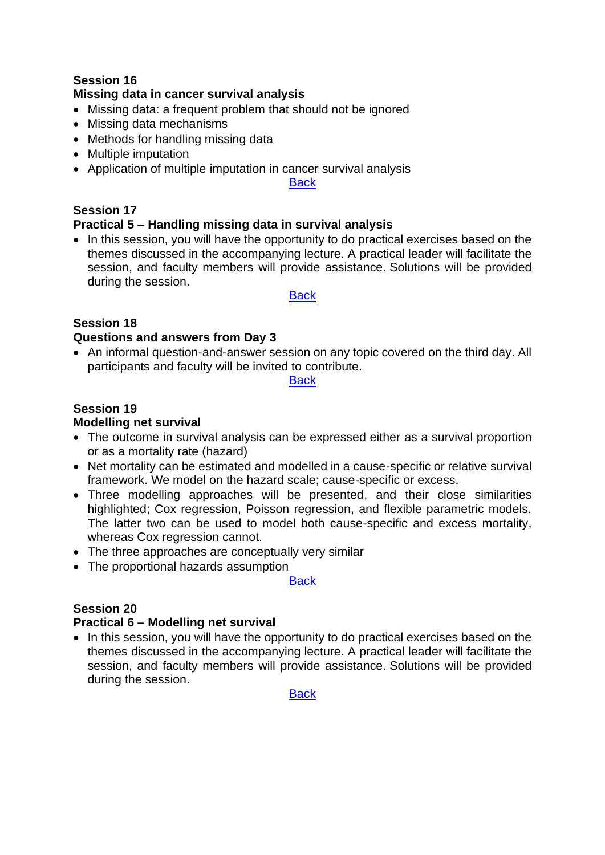## <span id="page-6-0"></span>**Session 16**

### **Missing data in cancer survival analysis**

- Missing data: a frequent problem that should not be ignored
- Missing data mechanisms
- Methods for handling missing data
- Multiple imputation
- Application of multiple imputation in cancer survival analysis

**[Back](#page-1-7)** 

## <span id="page-6-1"></span>**Session 17**

### **Practical 5 – Handling missing data in survival analysis**

• In this session, you will have the opportunity to do practical exercises based on the themes discussed in the accompanying lecture. A practical leader will facilitate the session, and faculty members will provide assistance. Solutions will be provided during the session.

#### **[Back](#page-1-8)**

# <span id="page-6-2"></span>**Session 18**

### **Questions and answers from Day 3**

• An informal question-and-answer session on any topic covered on the third day. All participants and faculty will be invited to contribute.

#### **[Back](#page-1-9)**

#### <span id="page-6-3"></span>**Session 19 Modelling net survival**

- The outcome in survival analysis can be expressed either as a survival proportion or as a mortality rate (hazard)
- Net mortality can be estimated and modelled in a cause-specific or relative survival framework. We model on the hazard scale; cause-specific or excess.
- Three modelling approaches will be presented, and their close similarities highlighted; Cox regression, Poisson regression, and flexible parametric models. The latter two can be used to model both cause-specific and excess mortality, whereas Cox regression cannot.
- The three approaches are conceptually very similar
- The proportional hazards assumption

#### **[Back](#page-2-0)**

# <span id="page-6-4"></span>**Session 20**

## **Practical 6 – Modelling net survival**

• In this session, you will have the opportunity to do practical exercises based on the themes discussed in the accompanying lecture. A practical leader will facilitate the session, and faculty members will provide assistance. Solutions will be provided during the session.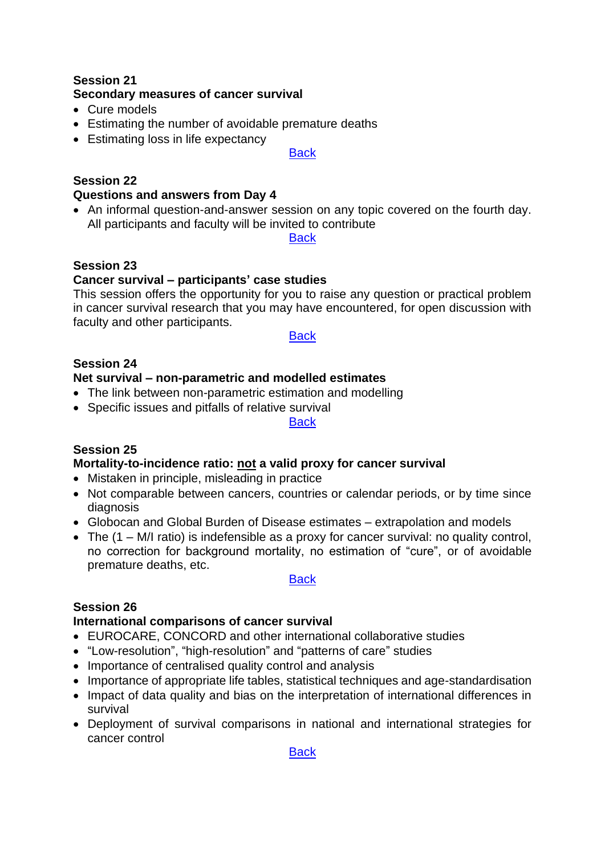## <span id="page-7-0"></span>**Session 21 Secondary measures of cancer survival**

- Cure models
- Estimating the number of avoidable premature deaths
- Estimating loss in life expectancy

#### **[Back](#page-2-2)**

# <span id="page-7-1"></span>**Session 22**

## **Questions and answers from Day 4**

• An informal question-and-answer session on any topic covered on the fourth day. All participants and faculty will be invited to contribute

#### **[Back](#page-2-3)**

# <span id="page-7-2"></span>**Session 23**

# **Cancer survival – participants' case studies**

This session offers the opportunity for you to raise any question or practical problem in cancer survival research that you may have encountered, for open discussion with faculty and other participants.

#### **[Back](#page-2-4)**

### <span id="page-7-3"></span>**Session 24**

### **Net survival – non-parametric and modelled estimates**

- The link between non-parametric estimation and modelling
- Specific issues and pitfalls of relative survival

#### **[Back](#page-2-5)**

## <span id="page-7-4"></span>**Session 25**

## **Mortality-to-incidence ratio: not [a valid proxy for cancer survival](#page-7-1)**

- Mistaken in principle, misleading in practice
- Not comparable between cancers, countries or calendar periods, or by time since diagnosis
- Globocan and Global Burden of Disease estimates extrapolation and models
- The (1 M/I ratio) is indefensible as a proxy for cancer survival: no quality control, no correction for background mortality, no estimation of "cure", or of avoidable premature deaths, etc.

#### **[Back](#page-2-6)**

## <span id="page-7-5"></span>**Session 26**

## **International comparisons of cancer survival**

- EUROCARE, CONCORD and other international collaborative studies
- "Low-resolution", "high-resolution" and "patterns of care" studies
- Importance of centralised quality control and analysis
- Importance of appropriate life tables, statistical techniques and age-standardisation
- Impact of data quality and bias on the interpretation of international differences in survival
- Deployment of survival comparisons in national and international strategies for cancer control